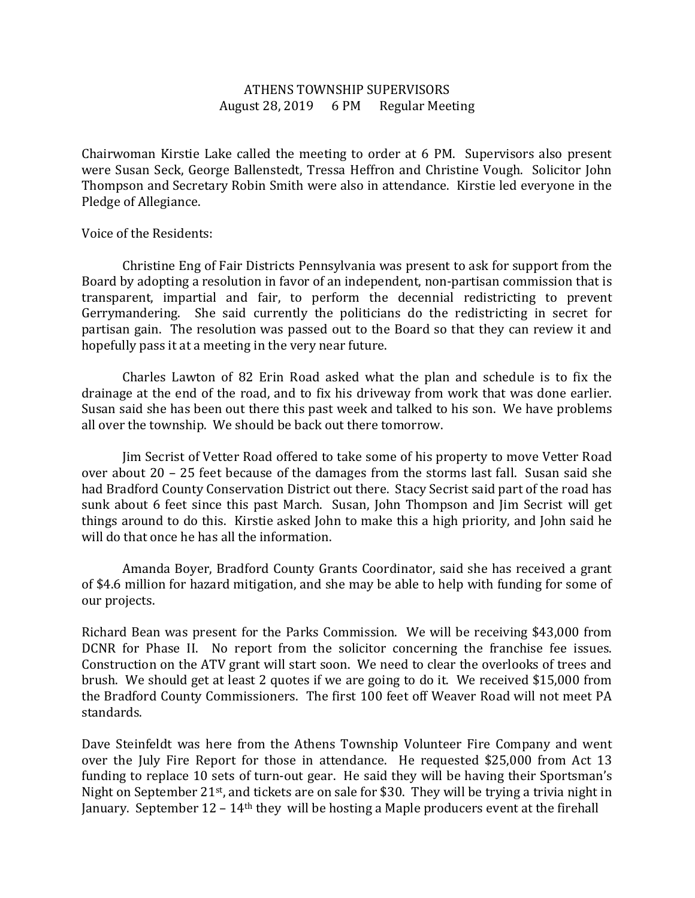## ATHENS TOWNSHIP SUPERVISORS August 28, 2019 6 PM Regular Meeting

Chairwoman Kirstie Lake called the meeting to order at 6 PM. Supervisors also present were Susan Seck, George Ballenstedt, Tressa Heffron and Christine Vough. Solicitor John Thompson and Secretary Robin Smith were also in attendance. Kirstie led everyone in the Pledge of Allegiance.

## Voice of the Residents:

 Christine Eng of Fair Districts Pennsylvania was present to ask for support from the Board by adopting a resolution in favor of an independent, non-partisan commission that is transparent, impartial and fair, to perform the decennial redistricting to prevent Gerrymandering. She said currently the politicians do the redistricting in secret for partisan gain. The resolution was passed out to the Board so that they can review it and hopefully pass it at a meeting in the very near future.

 Charles Lawton of 82 Erin Road asked what the plan and schedule is to fix the drainage at the end of the road, and to fix his driveway from work that was done earlier. Susan said she has been out there this past week and talked to his son. We have problems all over the township. We should be back out there tomorrow.

 Jim Secrist of Vetter Road offered to take some of his property to move Vetter Road over about 20 – 25 feet because of the damages from the storms last fall. Susan said she had Bradford County Conservation District out there. Stacy Secrist said part of the road has sunk about 6 feet since this past March. Susan, John Thompson and Jim Secrist will get things around to do this. Kirstie asked John to make this a high priority, and John said he will do that once he has all the information.

 Amanda Boyer, Bradford County Grants Coordinator, said she has received a grant of \$4.6 million for hazard mitigation, and she may be able to help with funding for some of our projects.

Richard Bean was present for the Parks Commission. We will be receiving \$43,000 from DCNR for Phase II. No report from the solicitor concerning the franchise fee issues. Construction on the ATV grant will start soon. We need to clear the overlooks of trees and brush. We should get at least 2 quotes if we are going to do it. We received \$15,000 from the Bradford County Commissioners. The first 100 feet off Weaver Road will not meet PA standards.

Dave Steinfeldt was here from the Athens Township Volunteer Fire Company and went over the July Fire Report for those in attendance. He requested \$25,000 from Act 13 funding to replace 10 sets of turn-out gear. He said they will be having their Sportsman's Night on September 21<sup>st</sup>, and tickets are on sale for \$30. They will be trying a trivia night in January. September 12 – 14th they will be hosting a Maple producers event at the firehall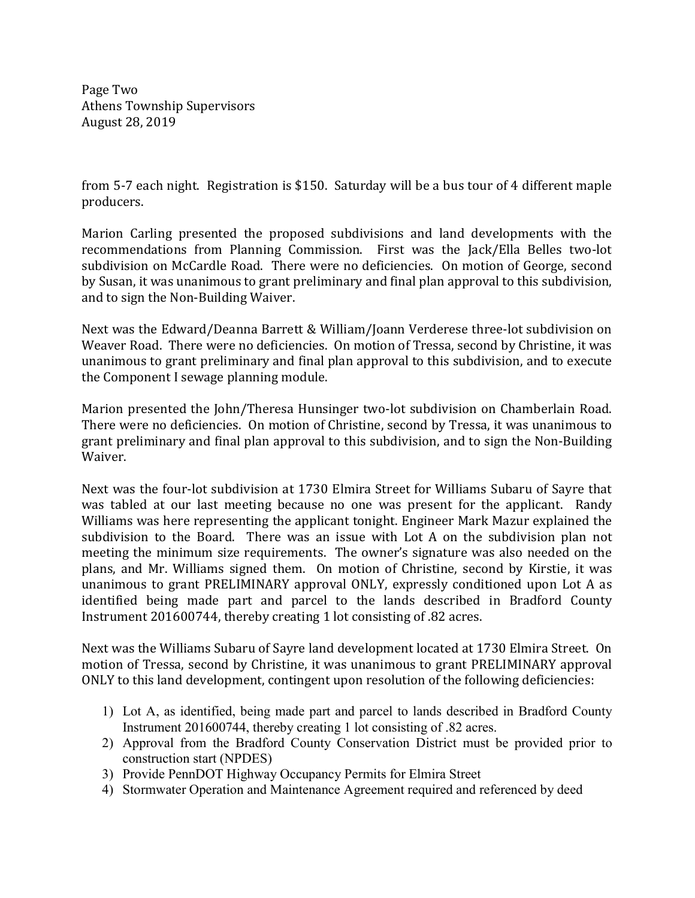Page Two Athens Township Supervisors August 28, 2019

from 5-7 each night. Registration is \$150. Saturday will be a bus tour of 4 different maple producers.

Marion Carling presented the proposed subdivisions and land developments with the recommendations from Planning Commission. First was the Jack/Ella Belles two-lot subdivision on McCardle Road. There were no deficiencies. On motion of George, second by Susan, it was unanimous to grant preliminary and final plan approval to this subdivision, and to sign the Non-Building Waiver.

Next was the Edward/Deanna Barrett & William/Joann Verderese three-lot subdivision on Weaver Road. There were no deficiencies. On motion of Tressa, second by Christine, it was unanimous to grant preliminary and final plan approval to this subdivision, and to execute the Component I sewage planning module.

Marion presented the John/Theresa Hunsinger two-lot subdivision on Chamberlain Road. There were no deficiencies. On motion of Christine, second by Tressa, it was unanimous to grant preliminary and final plan approval to this subdivision, and to sign the Non-Building Waiver.

Next was the four-lot subdivision at 1730 Elmira Street for Williams Subaru of Sayre that was tabled at our last meeting because no one was present for the applicant. Randy Williams was here representing the applicant tonight. Engineer Mark Mazur explained the subdivision to the Board. There was an issue with Lot A on the subdivision plan not meeting the minimum size requirements. The owner's signature was also needed on the plans, and Mr. Williams signed them. On motion of Christine, second by Kirstie, it was unanimous to grant PRELIMINARY approval ONLY, expressly conditioned upon Lot A as identified being made part and parcel to the lands described in Bradford County Instrument 201600744, thereby creating 1 lot consisting of .82 acres.

Next was the Williams Subaru of Sayre land development located at 1730 Elmira Street. On motion of Tressa, second by Christine, it was unanimous to grant PRELIMINARY approval ONLY to this land development, contingent upon resolution of the following deficiencies:

- 1) Lot A, as identified, being made part and parcel to lands described in Bradford County Instrument 201600744, thereby creating 1 lot consisting of .82 acres.
- 2) Approval from the Bradford County Conservation District must be provided prior to construction start (NPDES)
- 3) Provide PennDOT Highway Occupancy Permits for Elmira Street
- 4) Stormwater Operation and Maintenance Agreement required and referenced by deed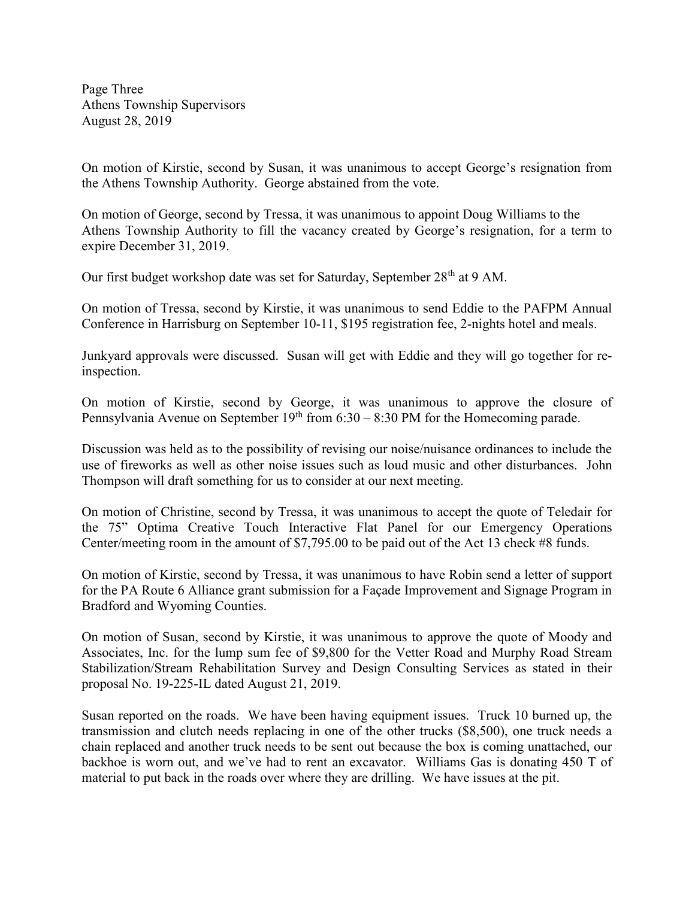Page Three Athens Township Supervisors August 28, 2019

On motion of Kirstie, second by Susan, it was unanimous to accept George's resignation from the Athens Township Authority. George abstained from the vote.

On motion of George, second by Tressa, it was unanimous to appoint Doug Williams to the Athens Township Authority to fill the vacancy created by George's resignation, for a term to expire December 31, 2019.

Our first budget workshop date was set for Saturday, September 28<sup>th</sup> at 9 AM.

On motion of Tressa, second by Kirstie, it was unanimous to send Eddie to the PAFPM Annual Conference in Harrisburg on September 10-11, \$195 registration fee, 2-nights hotel and meals.

Junkyard approvals were discussed. Susan will get with Eddie and they will go together for reinspection.

On motion of Kirstie, second by George, it was unanimous to approve the closure of Pennsylvania Avenue on September  $19<sup>th</sup>$  from 6:30 – 8:30 PM for the Homecoming parade.

Discussion was held as to the possibility of revising our noise/nuisance ordinances to include the use of fireworks as well as other noise issues such as loud music and other disturbances. John Thompson will draft something for us to consider at our next meeting.

On motion of Christine, second by Tressa, it was unanimous to accept the quote of Teledair for the 75" Optima Creative Touch Interactive Flat Panel for our Emergency Operations Center/meeting room in the amount of \$7,795.00 to be paid out of the Act 13 check #8 funds.

On motion of Kirstie, second by Tressa, it was unanimous to have Robin send a letter of support for the PA Route 6 Alliance grant submission for a Façade Improvement and Signage Program in Bradford and Wyoming Counties.

On motion of Susan, second by Kirstie, it was unanimous to approve the quote of Moody and Associates, Inc. for the lump sum fee of \$9,800 for the Vetter Road and Murphy Road Stream Stabilization/Stream Rehabilitation Survey and Design Consulting Services as stated in their proposal No. 19-225-IL dated August 21, 2019.

Susan reported on the roads. We have been having equipment issues. Truck 10 burned up, the transmission and clutch needs replacing in one of the other trucks (\$8,500), one truck needs a chain replaced and another truck needs to be sent out because the box is coming unattached, our backhoe is worn out, and we've had to rent an excavator. Williams Gas is donating 450 T of material to put back in the roads over where they are drilling. We have issues at the pit.